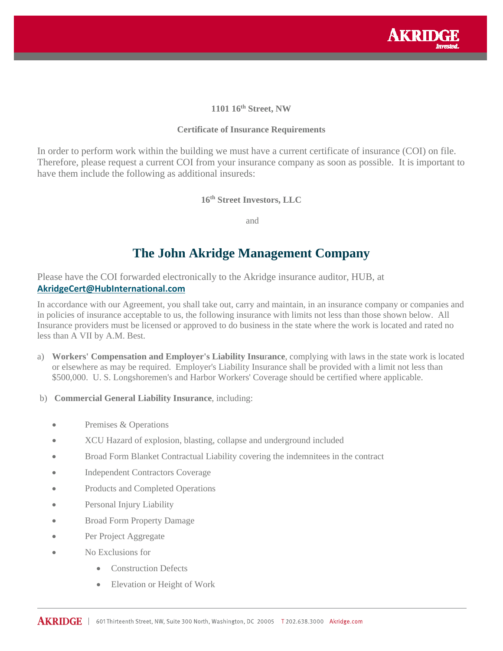

# **1101 16th Street, NW**

#### **Certificate of Insurance Requirements**

In order to perform work within the building we must have a current certificate of insurance (COI) on file. Therefore, please request a current COI from your insurance company as soon as possible. It is important to have them include the following as additional insureds:

#### **16th Street Investors, LLC**

and

# **The John Akridge Management Company**

Please have the COI forwarded electronically to the Akridge insurance auditor, HUB, at **AkridgeCert@HubInternational.com**

In accordance with our Agreement, you shall take out, carry and maintain, in an insurance company or companies and in policies of insurance acceptable to us, the following insurance with limits not less than those shown below. All Insurance providers must be licensed or approved to do business in the state where the work is located and rated no less than A VII by A.M. Best.

- a) **Workers' Compensation and Employer's Liability Insu**r**ance**, complying with laws in the state work is located or elsewhere as may be required. Employer's Liability Insurance shall be provided with a limit not less than \$500,000. U. S. Longshoremen's and Harbor Workers' Coverage should be certified where applicable.
- b) **Commercial General Liability Insurance**, including:
	- Premises & Operations
	- XCU Hazard of explosion, blasting, collapse and underground included
	- Broad Form Blanket Contractual Liability covering the indemnitees in the contract
	- Independent Contractors Coverage
	- Products and Completed Operations
	- Personal Injury Liability
	- Broad Form Property Damage
	- Per Project Aggregate
	- No Exclusions for
		- Construction Defects
		- Elevation or Height of Work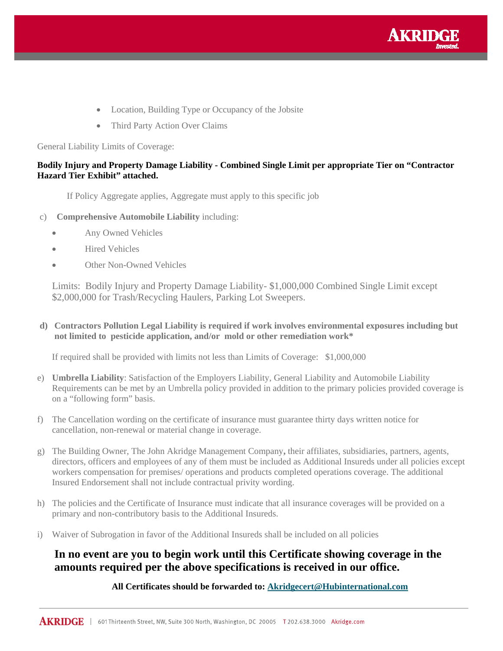

- Location, Building Type or Occupancy of the Jobsite
- Third Party Action Over Claims

General Liability Limits of Coverage:

#### **Bodily Injury and Property Damage Liability - Combined Single Limit per appropriate Tier on "Contractor Hazard Tier Exhibit" attached.**

If Policy Aggregate applies, Aggregate must apply to this specific job

- c) **Comprehensive Automobile Liability** including:
	- Any Owned Vehicles
	- Hired Vehicles
	- Other Non-Owned Vehicles

Limits: Bodily Injury and Property Damage Liability- \$1,000,000 Combined Single Limit except \$2,000,000 for Trash/Recycling Haulers, Parking Lot Sweepers.

**d) Contractors Pollution Legal Liability is required if work involves environmental exposures including but not limited to pesticide application, and/or mold or other remediation work\*** 

If required shall be provided with limits not less than Limits of Coverage: \$1,000,000

- e) **Umbrella Liability**: Satisfaction of the Employers Liability, General Liability and Automobile Liability Requirements can be met by an Umbrella policy provided in addition to the primary policies provided coverage is on a "following form" basis.
- f) The Cancellation wording on the certificate of insurance must guarantee thirty days written notice for cancellation, non-renewal or material change in coverage.
- g) The Building Owner, The John Akridge Management Company**,** their affiliates, subsidiaries, partners, agents, directors, officers and employees of any of them must be included as Additional Insureds under all policies except workers compensation for premises/ operations and products completed operations coverage. The additional Insured Endorsement shall not include contractual privity wording.
- h) The policies and the Certificate of Insurance must indicate that all insurance coverages will be provided on a primary and non-contributory basis to the Additional Insureds.
- i) Waiver of Subrogation in favor of the Additional Insureds shall be included on all policies

# **In no event are you to begin work until this Certificate showing coverage in the amounts required per the above specifications is received in our office.**

#### **All Certificates should be forwarded to: Akridgecert@Hubinternational.com**